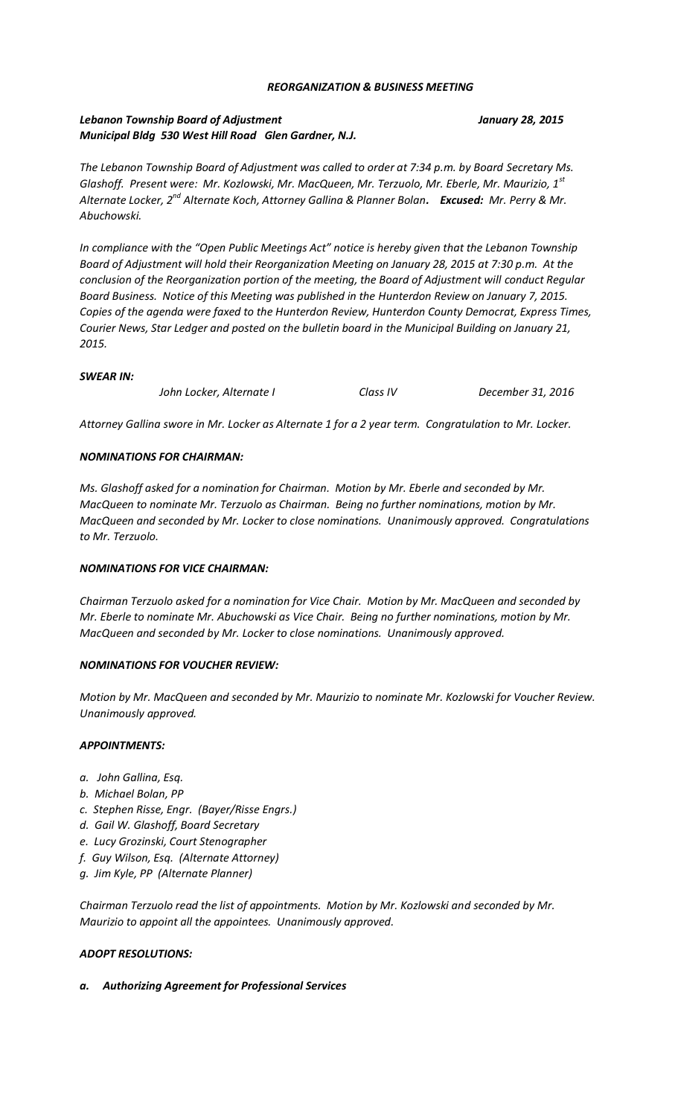## *REORGANIZATION & BUSINESS MEETING*

# *Lebanon Township Board of Adjustment January 28, 2015 Municipal Bldg 530 West Hill Road Glen Gardner, N.J.*

*The Lebanon Township Board of Adjustment was called to order at 7:34 p.m. by Board Secretary Ms. Glashoff. Present were: Mr. Kozlowski, Mr. MacQueen, Mr. Terzuolo, Mr. Eberle, Mr. Maurizio, 1st Alternate Locker, 2nd Alternate Koch, Attorney Gallina & Planner Bolan. Excused: Mr. Perry & Mr. Abuchowski.*

*In compliance with the "Open Public Meetings Act" notice is hereby given that the Lebanon Township Board of Adjustment will hold their Reorganization Meeting on January 28, 2015 at 7:30 p.m. At the conclusion of the Reorganization portion of the meeting, the Board of Adjustment will conduct Regular Board Business. Notice of this Meeting was published in the Hunterdon Review on January 7, 2015. Copies of the agenda were faxed to the Hunterdon Review, Hunterdon County Democrat, Express Times, Courier News, Star Ledger and posted on the bulletin board in the Municipal Building on January 21, 2015.*

## *SWEAR IN:*

*John Locker, Alternate I Class IV December 31, 2016*

*Attorney Gallina swore in Mr. Locker as Alternate 1 for a 2 year term. Congratulation to Mr. Locker.*

## *NOMINATIONS FOR CHAIRMAN:*

*Ms. Glashoff asked for a nomination for Chairman. Motion by Mr. Eberle and seconded by Mr. MacQueen to nominate Mr. Terzuolo as Chairman. Being no further nominations, motion by Mr. MacQueen and seconded by Mr. Locker to close nominations. Unanimously approved. Congratulations to Mr. Terzuolo.*

## *NOMINATIONS FOR VICE CHAIRMAN:*

*Chairman Terzuolo asked for a nomination for Vice Chair. Motion by Mr. MacQueen and seconded by Mr. Eberle to nominate Mr. Abuchowski as Vice Chair. Being no further nominations, motion by Mr. MacQueen and seconded by Mr. Locker to close nominations. Unanimously approved.*

## *NOMINATIONS FOR VOUCHER REVIEW:*

*Motion by Mr. MacQueen and seconded by Mr. Maurizio to nominate Mr. Kozlowski for Voucher Review. Unanimously approved.*

## *APPOINTMENTS:*

- *a. John Gallina, Esq.*
- *b. Michael Bolan, PP*
- *c. Stephen Risse, Engr. (Bayer/Risse Engrs.)*
- *d. Gail W. Glashoff, Board Secretary*
- *e. Lucy Grozinski, Court Stenographer*
- *f. Guy Wilson, Esq. (Alternate Attorney)*
- *g. Jim Kyle, PP (Alternate Planner)*

*Chairman Terzuolo read the list of appointments. Motion by Mr. Kozlowski and seconded by Mr. Maurizio to appoint all the appointees. Unanimously approved.*

## *ADOPT RESOLUTIONS:*

*a. Authorizing Agreement for Professional Services*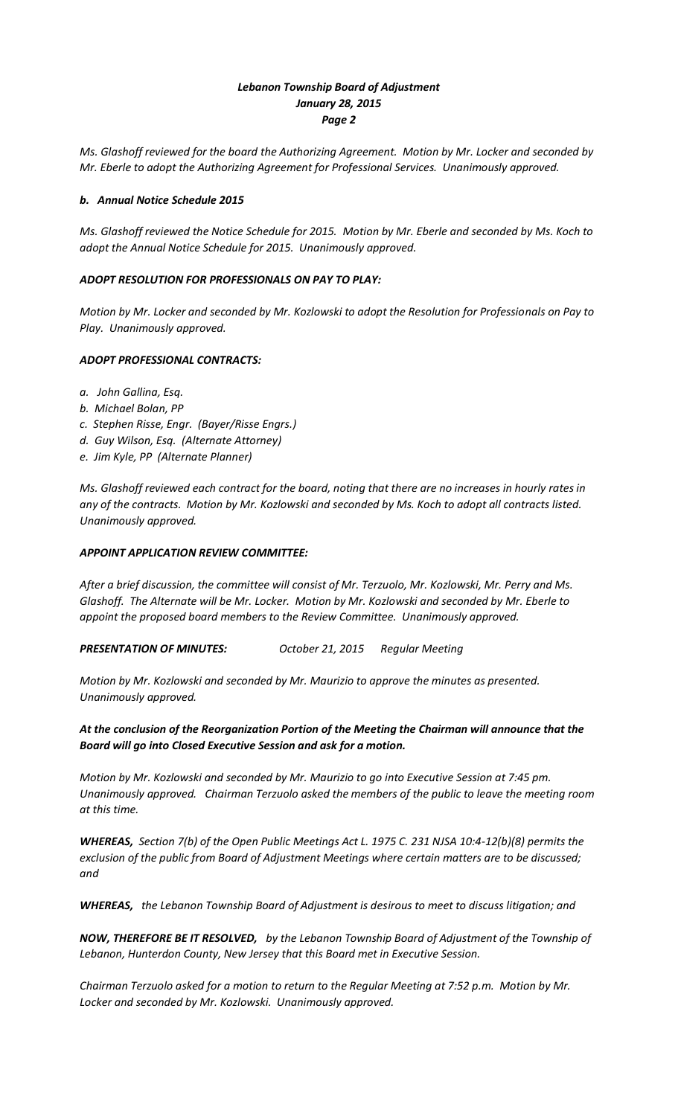# *Lebanon Township Board of Adjustment January 28, 2015 Page 2*

*Ms. Glashoff reviewed for the board the Authorizing Agreement. Motion by Mr. Locker and seconded by Mr. Eberle to adopt the Authorizing Agreement for Professional Services. Unanimously approved.*

## *b. Annual Notice Schedule 2015*

*Ms. Glashoff reviewed the Notice Schedule for 2015. Motion by Mr. Eberle and seconded by Ms. Koch to adopt the Annual Notice Schedule for 2015. Unanimously approved.*

## *ADOPT RESOLUTION FOR PROFESSIONALS ON PAY TO PLAY:*

*Motion by Mr. Locker and seconded by Mr. Kozlowski to adopt the Resolution for Professionals on Pay to Play. Unanimously approved.*

## *ADOPT PROFESSIONAL CONTRACTS:*

- *a. John Gallina, Esq.*
- *b. Michael Bolan, PP*
- *c. Stephen Risse, Engr. (Bayer/Risse Engrs.)*
- *d. Guy Wilson, Esq. (Alternate Attorney)*
- *e. Jim Kyle, PP (Alternate Planner)*

*Ms. Glashoff reviewed each contract for the board, noting that there are no increases in hourly rates in any of the contracts. Motion by Mr. Kozlowski and seconded by Ms. Koch to adopt all contracts listed. Unanimously approved.*

## *APPOINT APPLICATION REVIEW COMMITTEE:*

*After a brief discussion, the committee will consist of Mr. Terzuolo, Mr. Kozlowski, Mr. Perry and Ms. Glashoff. The Alternate will be Mr. Locker. Motion by Mr. Kozlowski and seconded by Mr. Eberle to appoint the proposed board members to the Review Committee. Unanimously approved.*

*PRESENTATION OF MINUTES: October 21, 2015 Regular Meeting*

*Motion by Mr. Kozlowski and seconded by Mr. Maurizio to approve the minutes as presented. Unanimously approved.*

# *At the conclusion of the Reorganization Portion of the Meeting the Chairman will announce that the Board will go into Closed Executive Session and ask for a motion.*

*Motion by Mr. Kozlowski and seconded by Mr. Maurizio to go into Executive Session at 7:45 pm. Unanimously approved. Chairman Terzuolo asked the members of the public to leave the meeting room at this time.*

*WHEREAS, Section 7(b) of the Open Public Meetings Act L. 1975 C. 231 NJSA 10:4-12(b)(8) permits the exclusion of the public from Board of Adjustment Meetings where certain matters are to be discussed; and*

*WHEREAS, the Lebanon Township Board of Adjustment is desirous to meet to discuss litigation; and*

*NOW, THEREFORE BE IT RESOLVED, by the Lebanon Township Board of Adjustment of the Township of Lebanon, Hunterdon County, New Jersey that this Board met in Executive Session.*

*Chairman Terzuolo asked for a motion to return to the Regular Meeting at 7:52 p.m. Motion by Mr. Locker and seconded by Mr. Kozlowski. Unanimously approved.*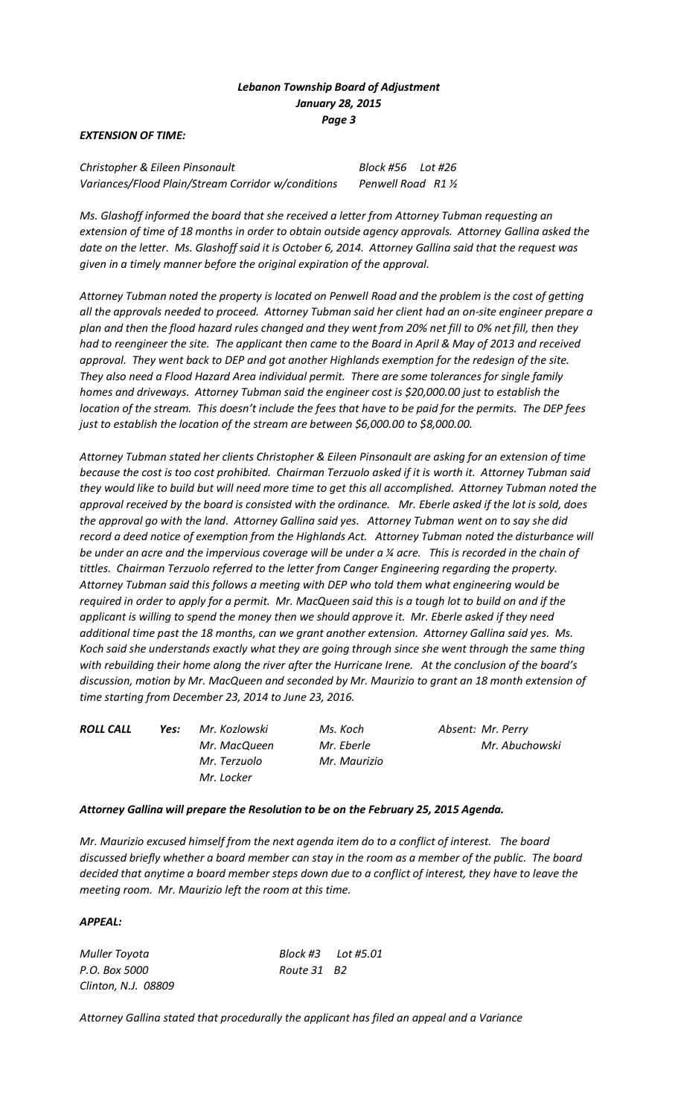## *Lebanon Township Board of Adjustment January 28, 2015 Page 3*

## *EXTENSION OF TIME:*

*Christopher & Eileen Pinsonault Block #56 Lot #26 Variances/Flood Plain/Stream Corridor w/conditions Penwell Road R1 ½*

*Ms. Glashoff informed the board that she received a letter from Attorney Tubman requesting an extension of time of 18 months in order to obtain outside agency approvals. Attorney Gallina asked the date on the letter. Ms. Glashoff said it is October 6, 2014. Attorney Gallina said that the request was given in a timely manner before the original expiration of the approval.*

*Attorney Tubman noted the property is located on Penwell Road and the problem is the cost of getting all the approvals needed to proceed. Attorney Tubman said her client had an on-site engineer prepare a plan and then the flood hazard rules changed and they went from 20% net fill to 0% net fill, then they had to reengineer the site. The applicant then came to the Board in April & May of 2013 and received approval. They went back to DEP and got another Highlands exemption for the redesign of the site. They also need a Flood Hazard Area individual permit. There are some tolerances for single family homes and driveways. Attorney Tubman said the engineer cost is \$20,000.00 just to establish the location of the stream. This doesn't include the fees that have to be paid for the permits. The DEP fees just to establish the location of the stream are between \$6,000.00 to \$8,000.00.* 

*Attorney Tubman stated her clients Christopher & Eileen Pinsonault are asking for an extension of time because the cost is too cost prohibited. Chairman Terzuolo asked if it is worth it. Attorney Tubman said they would like to build but will need more time to get this all accomplished. Attorney Tubman noted the approval received by the board is consisted with the ordinance. Mr. Eberle asked if the lot is sold, does the approval go with the land. Attorney Gallina said yes. Attorney Tubman went on to say she did record a deed notice of exemption from the Highlands Act. Attorney Tubman noted the disturbance will be under an acre and the impervious coverage will be under a ¼ acre. This is recorded in the chain of tittles. Chairman Terzuolo referred to the letter from Canger Engineering regarding the property. Attorney Tubman said this follows a meeting with DEP who told them what engineering would be required in order to apply for a permit. Mr. MacQueen said this is a tough lot to build on and if the applicant is willing to spend the money then we should approve it. Mr. Eberle asked if they need additional time past the 18 months, can we grant another extension. Attorney Gallina said yes. Ms. Koch said she understands exactly what they are going through since she went through the same thing with rebuilding their home along the river after the Hurricane Irene. At the conclusion of the board's discussion, motion by Mr. MacQueen and seconded by Mr. Maurizio to grant an 18 month extension of time starting from December 23, 2014 to June 23, 2016.* 

*Mr. Terzuolo Mr. Maurizio Mr. Locker* 

*ROLL CALL Yes: Mr. Kozlowski Ms. Koch Absent: Mr. Perry Mr. MacQueen Mr. Eberle Mr. Abuchowski*

## *Attorney Gallina will prepare the Resolution to be on the February 25, 2015 Agenda.*

*Mr. Maurizio excused himself from the next agenda item do to a conflict of interest. The board discussed briefly whether a board member can stay in the room as a member of the public. The board decided that anytime a board member steps down due to a conflict of interest, they have to leave the meeting room. Mr. Maurizio left the room at this time.*

#### *APPEAL:*

*P.O. Box 5000 Route 31 B2 Clinton, N.J. 08809*

*Muller Toyota Block #3 Lot #5.01*

*Attorney Gallina stated that procedurally the applicant has filed an appeal and a Variance*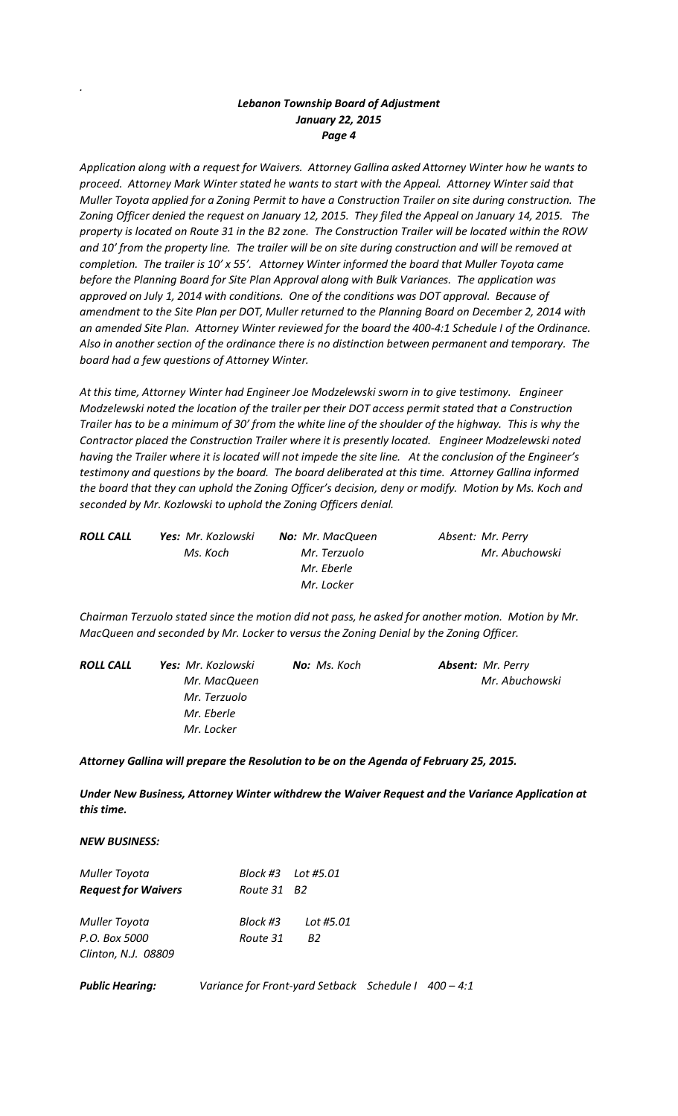# *Lebanon Township Board of Adjustment January 22, 2015 Page 4*

*Application along with a request for Waivers. Attorney Gallina asked Attorney Winter how he wants to proceed. Attorney Mark Winter stated he wants to start with the Appeal. Attorney Winter said that Muller Toyota applied for a Zoning Permit to have a Construction Trailer on site during construction. The Zoning Officer denied the request on January 12, 2015. They filed the Appeal on January 14, 2015. The property is located on Route 31 in the B2 zone. The Construction Trailer will be located within the ROW and 10' from the property line. The trailer will be on site during construction and will be removed at completion. The trailer is 10' x 55'. Attorney Winter informed the board that Muller Toyota came before the Planning Board for Site Plan Approval along with Bulk Variances. The application was approved on July 1, 2014 with conditions. One of the conditions was DOT approval. Because of amendment to the Site Plan per DOT, Muller returned to the Planning Board on December 2, 2014 with an amended Site Plan. Attorney Winter reviewed for the board the 400-4:1 Schedule I of the Ordinance. Also in another section of the ordinance there is no distinction between permanent and temporary. The board had a few questions of Attorney Winter.*

*At this time, Attorney Winter had Engineer Joe Modzelewski sworn in to give testimony. Engineer Modzelewski noted the location of the trailer per their DOT access permit stated that a Construction Trailer has to be a minimum of 30' from the white line of the shoulder of the highway. This is why the Contractor placed the Construction Trailer where it is presently located. Engineer Modzelewski noted having the Trailer where it is located will not impede the site line. At the conclusion of the Engineer's testimony and questions by the board. The board deliberated at this time. Attorney Gallina informed the board that they can uphold the Zoning Officer's decision, deny or modify. Motion by Ms. Koch and seconded by Mr. Kozlowski to uphold the Zoning Officers denial.*

| <b>ROLL CALL</b> | <b>Yes:</b> Mr. Kozlowski | <b>No:</b> Mr. MacQueen | Absent: Mr. Perry |
|------------------|---------------------------|-------------------------|-------------------|
|                  | Ms. Koch                  | Mr. Terzuolo            | Mr. Abuchowski    |
|                  |                           | Mr. Eberle              |                   |
|                  |                           | Mr. Locker              |                   |

*Chairman Terzuolo stated since the motion did not pass, he asked for another motion. Motion by Mr. MacQueen and seconded by Mr. Locker to versus the Zoning Denial by the Zoning Officer.*

| ROLL CALL | <b>Yes:</b> Mr. Kozlowski | <b>No:</b> Ms. Koch | <b>Absent:</b> Mr. Perry |
|-----------|---------------------------|---------------------|--------------------------|
|           | Mr. MacQueen              |                     | Mr. Abuchowski           |
|           | Mr. Terzuolo              |                     |                          |
|           | Mr. Eberle                |                     |                          |
|           | Mr. Locker                |                     |                          |

*Attorney Gallina will prepare the Resolution to be on the Agenda of February 25, 2015.*

*Under New Business, Attorney Winter withdrew the Waiver Request and the Variance Application at this time.* 

*NEW BUSINESS:*

*.*

| Muller Toyota              |                         | Block #3    Lot #5.01 |  |
|----------------------------|-------------------------|-----------------------|--|
| <b>Request for Waivers</b> | Route 31 B <sub>2</sub> |                       |  |
| Muller Toyota              | Block #3                | Lot #5.01             |  |
| P.O. Box 5000              | Route 31                | R2                    |  |
| Clinton, N.J. 08809        |                         |                       |  |

**Public Hearing:** *Variance for Front-yard Setback Schedule I 400 - 4:1*